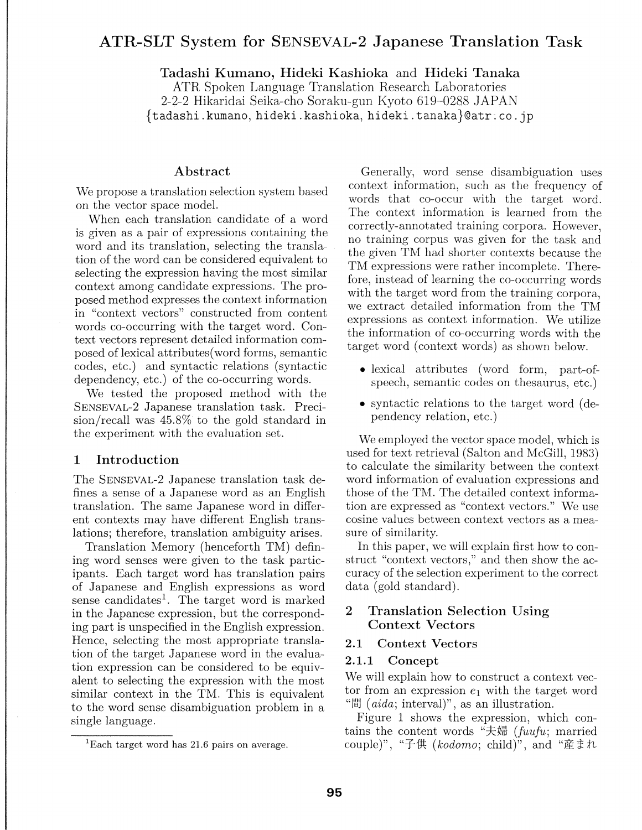# **ATR-SLT System for SENSEVAL-2 Japanese Translation Task**

**Tadashi K urnano, Hideki Kashioka** and **Hideki Tanaka** 

ATR Spoken Language Translation Research Laboratories 2-2-2 Hikaridai Seika-cho Soraku-gun Kyoto 619-0288 JAPAN {tadashi.kumano, hideki.kashioka, hideki.tanaka}@atr;co.jp

#### **Abstract**

We propose a translation selection system based on the vector space model.

When each translation candidate of a word is given as a pair of expressions containing the word and its translation, selecting the translation of the word can be considered equivalent to selecting the expression having the most similar context among candidate expressions. The proposed method expresses the context information in "context vectors" constructed from content words co-occurring with the target word. Context vectors represent detailed information composed of lexical attributes( word forms, semantic codes, etc.) and syntactic relations (syntactic dependency, etc.) of the co-occurring words.

We tested the proposed method with the SENSEVAL-2 Japanese translation task. Precision/recall was 45.8% to the gold standard m the experiment with the evaluation set.

### **1 Introduction**

The SENSEVAL-2 Japanese translation task defines a sense of a Japanese word as an English translation. The same Japanese word in different contexts may have different English translations; therefore, translation ambiguity arises.

Translation Memory (henceforth TM) defining word senses were given to the task participants. Each target word has translation pairs of Japanese and English expressions as word sense candidates<sup>1</sup>. The target word is marked in the Japanese expression, but the corresponding part is unspecified in the English expression. Hence, selecting the most appropriate translation of the target Japanese word in the evaluation expression can be considered to be equivalent to selecting the expression with the most similar context in the TM. This is equivalent to the word sense disambiguation problem in a single language.

Generally, word sense disambiguation uses context information, such as the frequency of words that co-occur with the target word. The context information is learned from the correctly-annotated training corpora. However, no training corpus was given for the task and the given TM had shorter contexts because the TM expressions were rather incomplete. Therefore, instead of learning the co-occurring words with the target word from the training corpora, we extract detailed information from the TM expressions as context information. We utilize the information of co-occurring words with the target word (context words) as shown below.

- lexical attributes (word form, part-ofspeech, semantic codes on thesaurus, etc.)
- syntactic relations to the target word (dependency relation, etc.)

We employed the vector space model, which is used for text retrieval (Salton and McGill, 1983) to calculate the similarity between the context word information of evaluation expressions and those of the TM. The detailed context information are expressed as "context vectors." We use cosine values between context vectors as a measure of similarity.

In this paper, we will explain first how to construct "context vectors," and then show the accuracy of the selection experiment to the correct data (gold standard).

## **2 Translation Selection Using Context Vectors**

#### **2.1 Context Vectors**

#### **2.1.1 Concept**

We will explain how to construct a context vector from an expression  $e_1$  with the target word " $E$ [*aida*; interval]", as an illustration.

Figure 1 shows the expression, which contains the content words "夫婦 (*fuufu*; married couple)", "子供 *(kodomo*; child)", and "産まれ

 $1$ Each target word has 21.6 pairs on average.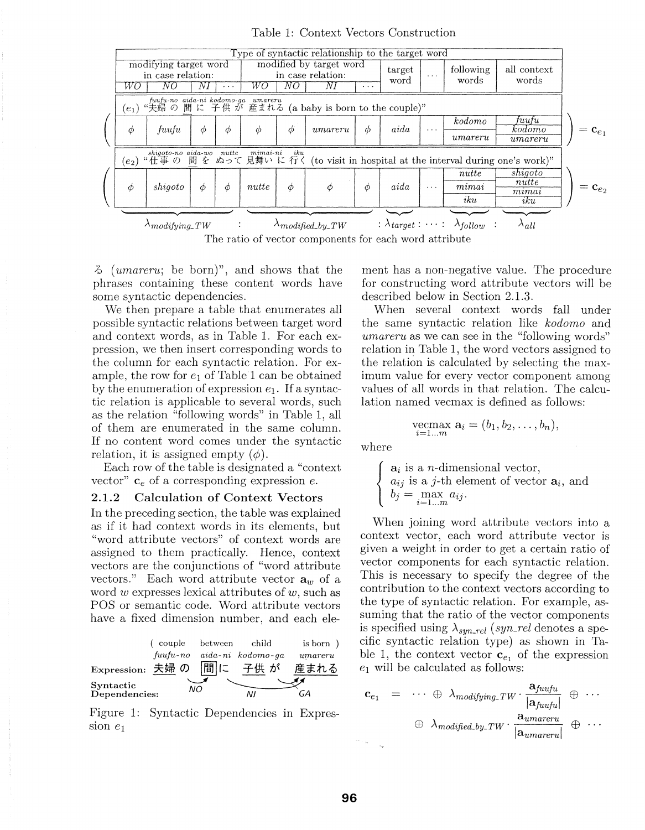| Type of syntactic relationship to the target word                                                                                       |                                                  |    |          |                                                                            |   |                                     |        |                |                      |                                                      |                                   |                     |
|-----------------------------------------------------------------------------------------------------------------------------------------|--------------------------------------------------|----|----------|----------------------------------------------------------------------------|---|-------------------------------------|--------|----------------|----------------------|------------------------------------------------------|-----------------------------------|---------------------|
| WO                                                                                                                                      | modifying target word<br>in case relation:<br>NΟ | N) | $\cdots$ | modified by target word<br>in case relation:<br>WO<br>NΟ<br>Νì<br>$\cdots$ |   |                                     |        | target<br>word | $\sim$ $\sim$ $\sim$ | following<br>words                                   | all context<br>words              |                     |
| fuufu-no aida-ni kodomo-ga umareru<br>夫婦の間に子供が産まれる (a baby is born to the couple)"<br>$(e_1)$ "夫婦の                                      |                                                  |    |          |                                                                            |   |                                     |        |                |                      |                                                      |                                   |                     |
| $\phi$                                                                                                                                  | fuufu                                            | Φ  | Φ        | Φ                                                                          | Φ | $\it{umareru}$                      | φ      | aida           | $\cdots$             | kodomo<br>$\it{umareru}$                             | tuutu<br>kodomo<br>$\it{umareru}$ | $=\mathbf{c}_{e_1}$ |
| shigoto-no aida-wo nutte<br>$minai-ni$<br>iku<br>間を ぬって見舞いに行く (to visit in hospital at the interval during one's work)"<br>$(e_2)$ "仕事の |                                                  |    |          |                                                                            |   |                                     |        |                |                      |                                                      |                                   |                     |
| Φ                                                                                                                                       | shiqoto                                          | Φ  | $\phi$   | nutte                                                                      | Φ | $\phi$                              | $\phi$ | aida           | $\cdots$             | nutte<br>mima<br>iku                                 | shigoto<br>nutte<br>mı<br>iku     | $\mathbf{c}_{e_2}$  |
|                                                                                                                                         | $\lambda_{modifying\_TW}$                        |    | ÷        |                                                                            |   | $\lambda$ <sub>modified_by_TW</sub> |        |                |                      | : $\lambda_{target}$ : $\cdots$ : $\lambda_{follow}$ | $\Lambda_{all}$                   |                     |

Table 1: Context Vectors Construction

The ratio of vector components for each word attribute

 $\delta$  (*umareru*; be born)", and shows that the phrases containing these content words have some syntactic dependencies.

We then prepare a table that enumerates all possible syntactic relations between target word and context words, as in Table 1. For each expression, we then insert corresponding words to the column for each syntactic relation. For example, the row for  $e_1$  of Table 1 can be obtained by the enumeration of expression  $e_1$ . If a syntactic relation is applicable to several words, such as the relation "following words" in Table 1, all of them are enumerated in the same column. If no content word comes under the syntactic relation, it is assigned empty  $(\phi)$ .

Each row of the table is designated a "context" vector"  $c_e$  of a corresponding expression  $e$ .

#### **Calculation of Context Vectors**  $2.1.2$

In the preceding section, the table was explained as if it had context words in its elements, but "word attribute vectors" of context words are assigned to them practically. Hence, context vectors are the conjunctions of "word attribute vectors." Each word attribute vector  $a_w$  of a word w expresses lexical attributes of  $w$ , such as POS or semantic code. Word attribute vectors have a fixed dimension number, and each ele-

|                            | couple            | between | child             | is born )      |
|----------------------------|-------------------|---------|-------------------|----------------|
|                            | $\mu$ u $\mu$ -no |         | aida-ni kodomo-ga | $\it{umareru}$ |
| Expression: 夫婦 の           |                   |         | 問に 子供が            | 産まれる           |
| Syntactic<br>Dependencies: | NO.               |         | ΝI                | GΑ             |

Figure 1: Syntactic Dependencies in Expression  $e_1$ 

ment has a non-negative value. The procedure for constructing word attribute vectors will be described below in Section 2.1.3.

When several context words fall under the same syntactic relation like kodomo and *umareru* as we can see in the "following words" relation in Table 1, the word vectors assigned to the relation is calculated by selecting the maximum value for every vector component among values of all words in that relation. The calculation named vecmax is defined as follows:

$$
\operatorname*{vecmax}_{i=1...m} \mathbf{a}_i = (b_1, b_2, \ldots, b_n),
$$

where

$$
\begin{cases}\n\mathbf{a}_i \text{ is a } n\text{-dimensional vector,} \\
a_{ij} \text{ is a } j\text{-th element of vector } \mathbf{a}_i, \text{ and} \\
b_j = \max_{i=1...m} a_{ij}.\n\end{cases}
$$

When joining word attribute vectors into a context vector, each word attribute vector is given a weight in order to get a certain ratio of vector components for each syntactic relation. This is necessary to specify the degree of the contribution to the context vectors according to the type of syntactic relation. For example, assuming that the ratio of the vector components is specified using  $\lambda_{sun\_rel}$  (syn\_rel denotes a specific syntactic relation type) as shown in Table 1, the context vector  $\mathbf{c}_{e_1}$  of the expression  $e_1$  will be calculated as follows:

$$
\begin{array}{rcl}\n\mathbf{c}_{e_1} & = & \cdots \; \oplus \; \lambda_{\text{modifying\_TW}} \cdot \frac{\mathbf{a}_{\text{f}uufu}}{|\mathbf{a}_{\text{f}uufu}|} \; \oplus \; \cdots \\
& \oplus \; \lambda_{\text{modified\_by\_TW}} \cdot \frac{\mathbf{a}_{\text{umarer}u}}{|\mathbf{a}_{\text{umarer}u}|} \; \oplus \; \cdots\n\end{array}
$$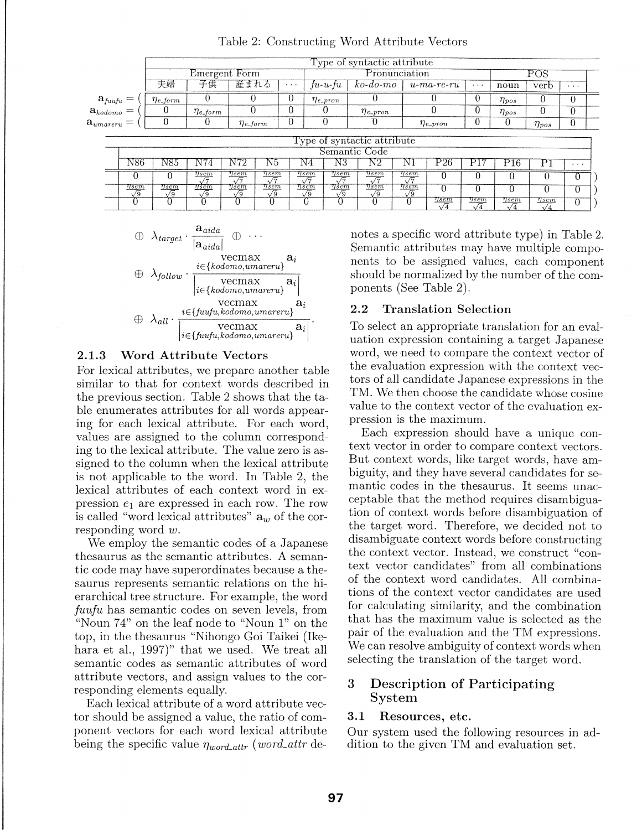|                                                                  |      | Type of syntactic attribute |                  |                           |          |   |                  |                                              |      |                  |          |                 |              |          |  |
|------------------------------------------------------------------|------|-----------------------------|------------------|---------------------------|----------|---|------------------|----------------------------------------------|------|------------------|----------|-----------------|--------------|----------|--|
|                                                                  |      | Emergent Form               |                  |                           |          |   | Pronunciation    |                                              |      |                  |          |                 | POS          |          |  |
| 夫婦<br>産まれる<br>子供<br>$\cdots$                                     |      |                             |                  | tu-u-tu                   | ko-do-mo |   | $u$ -ma-re-ru    | $\cdots$                                     | noun | verb             | $\cdots$ |                 |              |          |  |
|                                                                  |      | $\eta_{e\_form}$            |                  |                           |          | U | $\eta_{e\_pron}$ |                                              |      |                  |          | $\eta_{pos}$    |              | 0        |  |
| $\mathbf{a}_{\textit{fuufu}} = \ \mathbf{a}_{\textit{kodomo}} =$ |      |                             | $\eta_{e\_form}$ |                           |          | 0 |                  | $\eta_{e\_pron}$                             |      |                  |          | $\eta_{pos}$    |              | 0        |  |
| $\mathbf{a}_{\textit{umareru}} =$                                |      |                             |                  | $\eta_{e_{\text{-}}form}$ |          | 0 | 0                |                                              |      | $\eta_{e\_pron}$ |          |                 | $\eta_{pos}$ | 0        |  |
|                                                                  |      |                             |                  |                           |          |   |                  | Type of syntactic attribute<br>Semantic Code |      |                  |          |                 |              |          |  |
|                                                                  | N86. | N85.                        | 4                | N72                       | NЭ       |   | N3<br>Ν4         | ΝŻ                                           |      | Р26              |          | P <sub>16</sub> |              | $\cdots$ |  |

Table 2: Constructing Word Attribute Vectors



 $\begin{array}{c|cc} 0&0&\frac{\eta_{sem}}{\sqrt{7}}&\frac{\eta_{sem}}{\sqrt{2}}&\frac{\eta_{sem}}{\sqrt{7}}&\frac{\eta_{sem}}{\sqrt{7}}\ \hline \textbf{11} &\frac{\eta_{sem}}{\sqrt{7}}&\frac{\eta_{sem}}{\sqrt{7}}&\frac{\eta_{sem}}{\sqrt{7}}\ \hline \textbf{12} &\frac{\eta_{sem}}{\sqrt{9}}&\frac{\eta_{sem}}{\sqrt{9}}&\frac{\eta_{sem}}{\sqrt{9}}&\frac{\eta_{sem}}{\sqrt{9}} \end{array}$ 

 $0 \quad 0 \quad 0 \quad 0 \quad 0 \quad 0$ 

 $\sqrt{9}$   $\sqrt{9}$   $\sqrt{9}$   $\sqrt{9}$   $\sqrt{9}$ 

#### 2.1.3 Word Attribute Vectors

For lexical attributes, we prepare another table similar to that for context words described in the previous section. Table 2 shows that the table enumerates attributes for all words appearing for each lexical attribute. For each word, values are assigned to the column corresponding to the lexical attribute. The value zero is assigned to the column when the lexical attribute is not applicable to the word. In Table 2, the lexical attributes of each context word in expression  $e_1$  are expressed in each row. The row is called "word lexical attributes"  $a_w$  of the corresponding word *w.* 

We employ the semantic codes of a Japanese thesaurus as the semantic attributes. A semantic code may have superordinates because a thesaurus represents semantic relations on the hierarchical tree structure. For example, the word *fuufu* has semantic codes on seven levels, from "Noun 74" on the leaf node to "Noun 1" on the top, in the thesaurus "Nihongo Goi Taikei (Ikehara et al., 1997)" that we used. We treat all semantic codes as semantic attributes of word attribute vectors, and assign values to the corresponding elements equally.

Each lexical attribute of a word attribute vector should be assigned a value, the ratio of component vectors for each word lexical attribute being the specific value  $\eta_{word\_attr}$  (*word\_attr* denotes a specific word attribute type) in Table 2. Semantic attributes may have multiple components to be assigned values, each component should be normalized by the number of the components (See Table 2).

;Jf :]!!' 7 0 0 0 0 <sup>0</sup> ~ !jf1 ~ 0 0 0 0 <sup>0</sup>  $\begin{array}{|c|c|c|c|c|c|c|c|}\hline 0 & 0 & 0 & \frac{\eta_{sem}}{\sqrt{4}} & \frac{\eta_{sem}}{\sqrt{4}} & \frac{\eta_{sem}}{\sqrt{4}} & \frac{\eta_{sem}}{\sqrt{4}} & 0 \\\hline \end{array}$ 

### 2.2 Translation Selection

To select an appropriate translation for an evaluation expression containing a target Japanese word, we need to compare the context vector of the evaluation expression with the context vectors of all candidate Japanese expressions in the TM. We then choose the candidate whose cosine value to the context vector of the evaluation expression is the maximum.

Each expression should have a unique context vector in order to compare context vectors. But context words, like target words, have ambiguity, and they have several candidates for semantic codes in the thesaurus. It seems unacceptable that the method requires disambiguation of context words before disambiguation of the target word. Therefore, we decided not to disambiguate context words before constructing the context vector. Instead, we construct "context vector candidates" from all combinations of the context word candidates. All combinations of the context vector candidates are used for calculating similarity, and the combination that has the maximum value is selected as the pair of the evaluation and the TM expressions. We can resolve ambiguity of context words when selecting the translation of the target word.

# 3 Description of Participating System

### 3.1 Resources, etc.

Our system used the following resources in addition to the given TM and evaluation set.